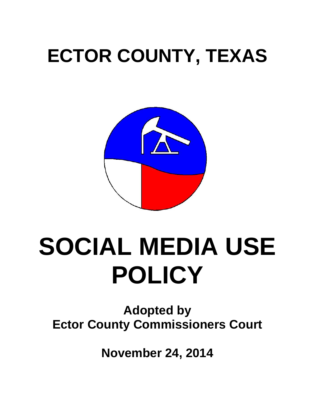## **ECTOR COUNTY, TEXAS**



# **SOCIAL MEDIA USE POLICY**

### **Adopted by Ector County Commissioners Court**

**November 24, 2014**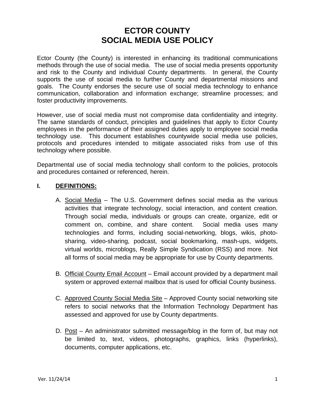#### **ECTOR COUNTY SOCIAL MEDIA USE POLICY**

Ector County (the County) is interested in enhancing its traditional communications methods through the use of social media. The use of social media presents opportunity and risk to the County and individual County departments. In general, the County supports the use of social media to further County and departmental missions and goals. The County endorses the secure use of social media technology to enhance communication, collaboration and information exchange; streamline processes; and foster productivity improvements.

However, use of social media must not compromise data confidentiality and integrity. The same standards of conduct, principles and guidelines that apply to Ector County employees in the performance of their assigned duties apply to employee social media technology use. This document establishes countywide social media use policies, protocols and procedures intended to mitigate associated risks from use of this technology where possible.

Departmental use of social media technology shall conform to the policies, protocols and procedures contained or referenced, herein.

#### **I. DEFINITIONS:**

- A. Social Media The U.S. Government defines social media as the various activities that integrate technology, social interaction, and content creation. Through social media, individuals or groups can create, organize, edit or comment on, combine, and share content. Social media uses many technologies and forms, including social-networking, blogs, wikis, photosharing, video-sharing, podcast, social bookmarking, mash-ups, widgets, virtual worlds, microblogs, Really Simple Syndication (RSS) and more. Not all forms of social media may be appropriate for use by County departments.
- B. Official County Email Account Email account provided by a department mail system or approved external mailbox that is used for official County business.
- C. Approved County Social Media Site Approved County social networking site refers to social networks that the Information Technology Department has assessed and approved for use by County departments.
- D. Post An administrator submitted message/blog in the form of, but may not be limited to, text, videos, photographs, graphics, links (hyperlinks), documents, computer applications, etc.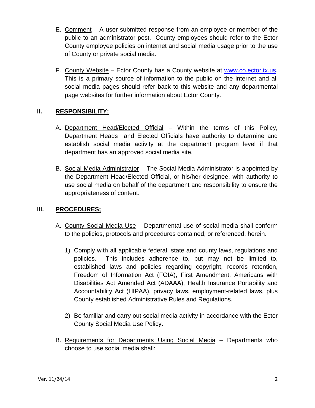- E. Comment A user submitted response from an employee or member of the public to an administrator post. County employees should refer to the Ector County employee policies on internet and social media usage prior to the use of County or private social media.
- F. County Website Ector County has a County website at www.co.ector.tx.us. This is a primary source of information to the public on the internet and all social media pages should refer back to this website and any departmental page websites for further information about Ector County.

#### **II. RESPONSIBILITY:**

- A. Department Head/Elected Official Within the terms of this Policy, Department Heads and Elected Officials have authority to determine and establish social media activity at the department program level if that department has an approved social media site.
- B. Social Media Administrator The Social Media Administrator is appointed by the Department Head/Elected Official, or his/her designee, with authority to use social media on behalf of the department and responsibility to ensure the appropriateness of content.

#### **III. PROCEDURES;**

- A. County Social Media Use Departmental use of social media shall conform to the policies, protocols and procedures contained, or referenced, herein.
	- 1) Comply with all applicable federal, state and county laws, regulations and policies. This includes adherence to, but may not be limited to, established laws and policies regarding copyright, records retention, Freedom of Information Act (FOIA), First Amendment, Americans with Disabilities Act Amended Act (ADAAA), Health Insurance Portability and Accountability Act (HIPAA), privacy laws, employment-related laws, plus County established Administrative Rules and Regulations.
	- 2) Be familiar and carry out social media activity in accordance with the Ector County Social Media Use Policy.
- B. Requirements for Departments Using Social Media Departments who choose to use social media shall: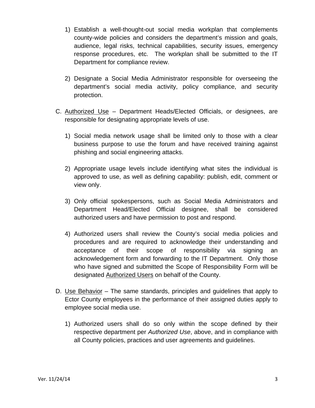- 1) Establish a well-thought-out social media workplan that complements county-wide policies and considers the department's mission and goals, audience, legal risks, technical capabilities, security issues, emergency response procedures, etc. The workplan shall be submitted to the IT Department for compliance review.
- 2) Designate a Social Media Administrator responsible for overseeing the department's social media activity, policy compliance, and security protection.
- C. Authorized Use Department Heads/Elected Officials, or designees, are responsible for designating appropriate levels of use.
	- 1) Social media network usage shall be limited only to those with a clear business purpose to use the forum and have received training against phishing and social engineering attacks.
	- 2) Appropriate usage levels include identifying what sites the individual is approved to use, as well as defining capability: publish, edit, comment or view only.
	- 3) Only official spokespersons, such as Social Media Administrators and Department Head/Elected Official designee, shall be considered authorized users and have permission to post and respond.
	- 4) Authorized users shall review the County's social media policies and procedures and are required to acknowledge their understanding and acceptance of their scope of responsibility via signing an acknowledgement form and forwarding to the IT Department. Only those who have signed and submitted the Scope of Responsibility Form will be designated Authorized Users on behalf of the County.
- D. Use Behavior The same standards, principles and guidelines that apply to Ector County employees in the performance of their assigned duties apply to employee social media use.
	- 1) Authorized users shall do so only within the scope defined by their respective department per *Authorized Use*, above, and in compliance with all County policies, practices and user agreements and guidelines.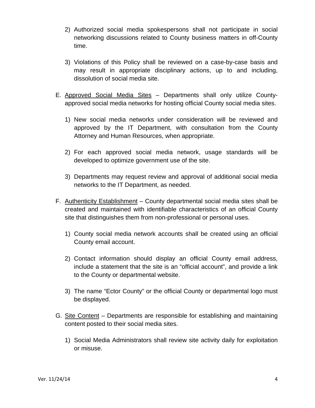- 2) Authorized social media spokespersons shall not participate in social networking discussions related to County business matters in off-County time.
- 3) Violations of this Policy shall be reviewed on a case-by-case basis and may result in appropriate disciplinary actions, up to and including, dissolution of social media site.
- E. Approved Social Media Sites Departments shall only utilize Countyapproved social media networks for hosting official County social media sites.
	- 1) New social media networks under consideration will be reviewed and approved by the IT Department, with consultation from the County Attorney and Human Resources, when appropriate.
	- 2) For each approved social media network, usage standards will be developed to optimize government use of the site.
	- 3) Departments may request review and approval of additional social media networks to the IT Department, as needed.
- F. Authenticity Establishment County departmental social media sites shall be created and maintained with identifiable characteristics of an official County site that distinguishes them from non-professional or personal uses.
	- 1) County social media network accounts shall be created using an official County email account.
	- 2) Contact information should display an official County email address, include a statement that the site is an "official account", and provide a link to the County or departmental website.
	- 3) The name "Ector County" or the official County or departmental logo must be displayed.
- G. Site Content Departments are responsible for establishing and maintaining content posted to their social media sites.
	- 1) Social Media Administrators shall review site activity daily for exploitation or misuse.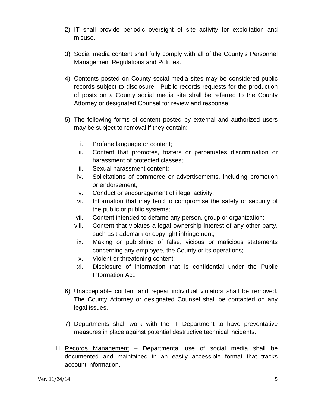- 2) IT shall provide periodic oversight of site activity for exploitation and misuse.
- 3) Social media content shall fully comply with all of the County's Personnel Management Regulations and Policies.
- 4) Contents posted on County social media sites may be considered public records subject to disclosure. Public records requests for the production of posts on a County social media site shall be referred to the County Attorney or designated Counsel for review and response.
- 5) The following forms of content posted by external and authorized users may be subject to removal if they contain:
	- i. Profane language or content;
	- ii. Content that promotes, fosters or perpetuates discrimination or harassment of protected classes;
	- iii. Sexual harassment content;
	- iv. Solicitations of commerce or advertisements, including promotion or endorsement;
	- v. Conduct or encouragement of illegal activity;
	- vi. Information that may tend to compromise the safety or security of the public or public systems;
	- vii. Content intended to defame any person, group or organization;
	- viii. Content that violates a legal ownership interest of any other party, such as trademark or copyright infringement;
	- ix. Making or publishing of false, vicious or malicious statements concerning any employee, the County or its operations;
	- x. Violent or threatening content;
	- xi. Disclosure of information that is confidential under the Public Information Act.
- 6) Unacceptable content and repeat individual violators shall be removed. The County Attorney or designated Counsel shall be contacted on any legal issues.
- 7) Departments shall work with the IT Department to have preventative measures in place against potential destructive technical incidents.
- H. Records Management Departmental use of social media shall be documented and maintained in an easily accessible format that tracks account information.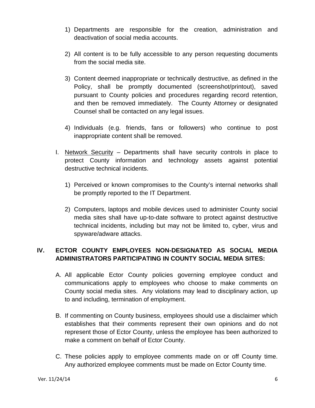- 1) Departments are responsible for the creation, administration and deactivation of social media accounts.
- 2) All content is to be fully accessible to any person requesting documents from the social media site.
- 3) Content deemed inappropriate or technically destructive, as defined in the Policy, shall be promptly documented (screenshot/printout), saved pursuant to County policies and procedures regarding record retention, and then be removed immediately. The County Attorney or designated Counsel shall be contacted on any legal issues.
- 4) Individuals (e.g. friends, fans or followers) who continue to post inappropriate content shall be removed.
- I. Network Security Departments shall have security controls in place to protect County information and technology assets against potential destructive technical incidents.
	- 1) Perceived or known compromises to the County's internal networks shall be promptly reported to the IT Department.
	- 2) Computers, laptops and mobile devices used to administer County social media sites shall have up-to-date software to protect against destructive technical incidents, including but may not be limited to, cyber, virus and spyware/adware attacks.

#### **IV. ECTOR COUNTY EMPLOYEES NON-DESIGNATED AS SOCIAL MEDIA ADMINISTRATORS PARTICIPATING IN COUNTY SOCIAL MEDIA SITES:**

- A. All applicable Ector County policies governing employee conduct and communications apply to employees who choose to make comments on County social media sites. Any violations may lead to disciplinary action, up to and including, termination of employment.
- B. If commenting on County business, employees should use a disclaimer which establishes that their comments represent their own opinions and do not represent those of Ector County, unless the employee has been authorized to make a comment on behalf of Ector County.
- C. These policies apply to employee comments made on or off County time. Any authorized employee comments must be made on Ector County time.